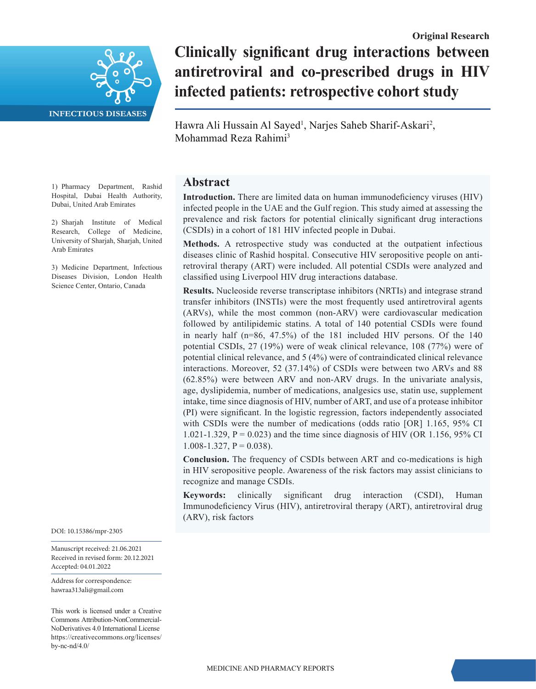

# **Clinically significant drug interactions between antiretroviral and co-prescribed drugs in HIV infected patients: retrospective cohort study**

Hawra Ali Hussain Al Sayed<sup>1</sup>, Narjes Saheb Sharif-Askari<sup>2</sup>, Mohammad Reza Rahimi3

# **Abstract**

**Introduction.** There are limited data on human immunodeficiency viruses (HIV) infected people in the UAE and the Gulf region. This study aimed at assessing the prevalence and risk factors for potential clinically significant drug interactions (CSDIs) in a cohort of 181 HIV infected people in Dubai.

**Methods.** A retrospective study was conducted at the outpatient infectious diseases clinic of Rashid hospital. Consecutive HIV seropositive people on antiretroviral therapy (ART) were included. All potential CSDIs were analyzed and classified using Liverpool HIV drug interactions database.

**Results.** Nucleoside reverse transcriptase inhibitors (NRTIs) and integrase strand transfer inhibitors (INSTIs) were the most frequently used antiretroviral agents (ARVs), while the most common (non-ARV) were cardiovascular medication followed by antilipidemic statins. A total of 140 potential CSDIs were found in nearly half (n=86, 47.5%) of the 181 included HIV persons. Of the 140 potential CSDIs, 27 (19%) were of weak clinical relevance, 108 (77%) were of potential clinical relevance, and 5 (4%) were of contraindicated clinical relevance interactions. Moreover, 52 (37.14%) of CSDIs were between two ARVs and 88 (62.85%) were between ARV and non-ARV drugs. In the univariate analysis, age, dyslipidemia, number of medications, analgesics use, statin use, supplement intake, time since diagnosis of HIV, number of ART, and use of a protease inhibitor (PI) were significant. In the logistic regression, factors independently associated with CSDIs were the number of medications (odds ratio [OR] 1.165, 95% CI 1.021-1.329,  $P = 0.023$ ) and the time since diagnosis of HIV (OR 1.156, 95% CI 1.008-1.327,  $P = 0.038$ ).

**Conclusion.** The frequency of CSDIs between ART and co-medications is high in HIV seropositive people. Awareness of the risk factors may assist clinicians to recognize and manage CSDIs.

**Keywords:** clinically significant drug interaction (CSDI), Human Immunodeficiency Virus (HIV), antiretroviral therapy (ART), antiretroviral drug (ARV), risk factors

1) Pharmacy Department, Rashid Hospital, Dubai Health Authority, Dubai, United Arab Emirates

2) Sharjah Institute of Medical Research, College of Medicine, University of Sharjah, Sharjah, United Arab Emirates

3) Medicine Department, Infectious Diseases Division, London Health Science Center, Ontario, Canada

DOI: 10.15386/mpr-2305

Manuscript received: 21.06.2021 Received in revised form: 20.12.2021 Accepted: 04.01.2022

Address for correspondence: hawraa313ali@gmail.com

This work is licensed under a Creative Commons Attribution-NonCommercial-NoDerivatives 4.0 International License https://creativecommons.org/licenses/ by-nc-nd/4.0/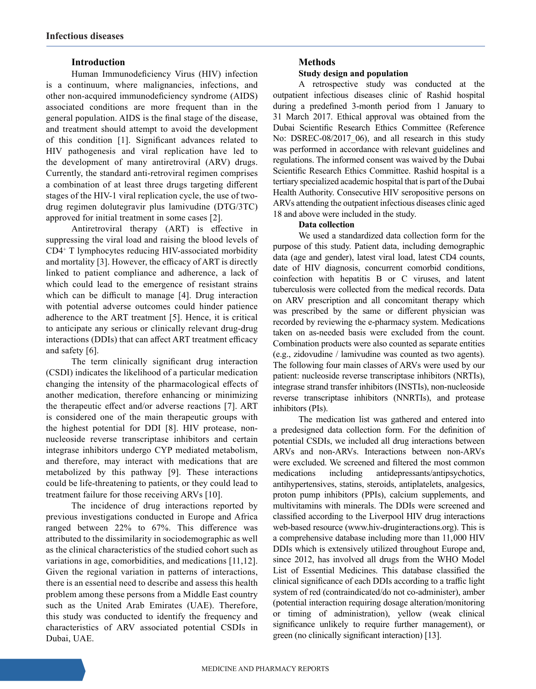## **Introduction**

Human Immunodeficiency Virus (HIV) infection is a continuum, where malignancies, infections, and other non-acquired immunodeficiency syndrome (AIDS) associated conditions are more frequent than in the general population. AIDS is the final stage of the disease, and treatment should attempt to avoid the development of this condition [1]. Significant advances related to HIV pathogenesis and viral replication have led to the development of many antiretroviral (ARV) drugs. Currently, the standard anti-retroviral regimen comprises a combination of at least three drugs targeting different stages of the HIV-1 viral replication cycle, the use of twodrug regimen dolutegravir plus lamivudine (DTG/3TC) approved for initial treatment in some cases [2].

Antiretroviral therapy (ART) is effective in suppressing the viral load and raising the blood levels of CD4+ T lymphocytes reducing HIV-associated morbidity and mortality [3]. However, the efficacy of ART is directly linked to patient compliance and adherence, a lack of which could lead to the emergence of resistant strains which can be difficult to manage [4]. Drug interaction with potential adverse outcomes could hinder patience adherence to the ART treatment [5]. Hence, it is critical to anticipate any serious or clinically relevant drug-drug interactions (DDIs) that can affect ART treatment efficacy and safety [6].

The term clinically significant drug interaction (CSDI) indicates the likelihood of a particular medication changing the intensity of the pharmacological effects of another medication, therefore enhancing or minimizing the therapeutic effect and/or adverse reactions [7]. ART is considered one of the main therapeutic groups with the highest potential for DDI [8]. HIV protease, nonnucleoside reverse transcriptase inhibitors and certain integrase inhibitors undergo CYP mediated metabolism, and therefore, may interact with medications that are metabolized by this pathway [9]. These interactions could be life-threatening to patients, or they could lead to treatment failure for those receiving ARVs [10].

The incidence of drug interactions reported by previous investigations conducted in Europe and Africa ranged between 22% to 67%. This difference was attributed to the dissimilarity in sociodemographic as well as the clinical characteristics of the studied cohort such as variations in age, comorbidities, and medications [11,12]. Given the regional variation in patterns of interactions, there is an essential need to describe and assess this health problem among these persons from a Middle East country such as the United Arab Emirates (UAE). Therefore, this study was conducted to identify the frequency and characteristics of ARV associated potential CSDIs in Dubai, UAE.

## **Methods Study design and population**

A retrospective study was conducted at the outpatient infectious diseases clinic of Rashid hospital during a predefined 3-month period from 1 January to 31 March 2017. Ethical approval was obtained from the Dubai Scientific Research Ethics Committee (Reference No: DSREC-08/2017 06), and all research in this study was performed in accordance with relevant guidelines and regulations. The informed consent was waived by the Dubai Scientific Research Ethics Committee. Rashid hospital is a tertiary specialized academic hospital that is part of the Dubai Health Authority. Consecutive HIV seropositive persons on ARVs attending the outpatient infectious diseases clinic aged 18 and above were included in the study.

### **Data collection**

We used a standardized data collection form for the purpose of this study. Patient data, including demographic data (age and gender), latest viral load, latest CD4 counts, date of HIV diagnosis, concurrent comorbid conditions, coinfection with hepatitis B or C viruses, and latent tuberculosis were collected from the medical records. Data on ARV prescription and all concomitant therapy which was prescribed by the same or different physician was recorded by reviewing the e-pharmacy system. Medications taken on as-needed basis were excluded from the count. Combination products were also counted as separate entities (e.g., zidovudine / lamivudine was counted as two agents). The following four main classes of ARVs were used by our patient: nucleoside reverse transcriptase inhibitors (NRTIs), integrase strand transfer inhibitors (INSTIs), non-nucleoside reverse transcriptase inhibitors (NNRTIs), and protease inhibitors (PIs).

The medication list was gathered and entered into a predesigned data collection form. For the definition of potential CSDIs, we included all drug interactions between ARVs and non-ARVs. Interactions between non-ARVs were excluded. We screened and filtered the most common medications including antidepressants/antipsychotics, antihypertensives, statins, steroids, antiplatelets, analgesics, proton pump inhibitors (PPIs), calcium supplements, and multivitamins with minerals. The DDIs were screened and classified according to the Liverpool HIV drug interactions web-based resource (www.hiv-druginteractions.org). This is a comprehensive database including more than 11, 000 HIV DDIs which is extensively utilized throughout Europe and, since 2012, has involved all drugs from the WHO Model List of Essential Medicines. This database classified the clinical significance of each DDIs according to a traffic light system of red (contraindicated/do not co-administer), amber (potential interaction requiring dosage alteration/monitoring or timing of administration), yellow (weak clinical significance unlikely to require further management), or green (no clinically significant interaction) [13].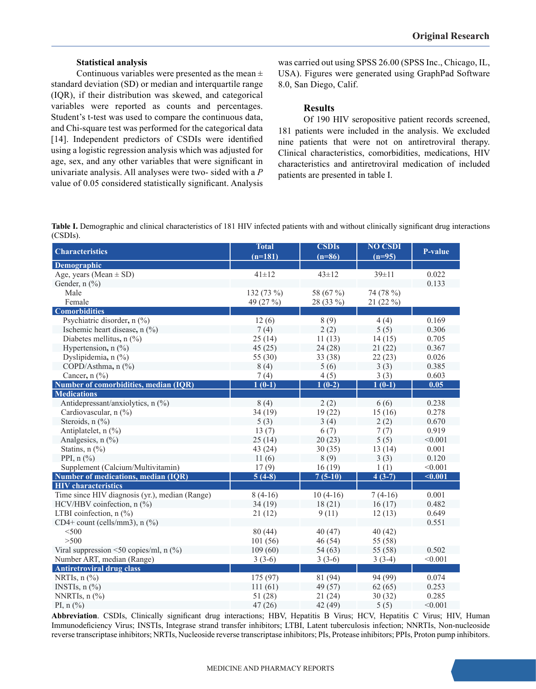### **Statistical analysis**

Continuous variables were presented as the mean  $\pm$ standard deviation (SD) or median and interquartile range (IQR), if their distribution was skewed, and categorical variables were reported as counts and percentages. Student's t-test was used to compare the continuous data, and Chi-square test was performed for the categorical data [14]. Independent predictors of CSDIs were identified using a logistic regression analysis which was adjusted for age, sex, and any other variables that were significant in univariate analysis. All analyses were two- sided with a *P* value of 0.05 considered statistically significant. Analysis was carried out using SPSS 26.00 (SPSS Inc., Chicago, IL, USA). Figures were generated using GraphPad Software 8.0, San Diego, Calif.

### **Results**

Of 190 HIV seropositive patient records screened, 181 patients were included in the analysis. We excluded nine patients that were not on antiretroviral therapy. Clinical characteristics, comorbidities, medications, HIV characteristics and antiretroviral medication of included patients are presented in table I.

**Table I.** Demographic and clinical characteristics of 181 HIV infected patients with and without clinically significant drug interactions (CSDIs).

| <b>Characteristics</b>                         | <b>Total</b><br>$(n=181)$ | <b>CSDIs</b><br>$(n=86)$ | <b>NO CSDI</b><br>$(n=95)$ | <b>P-value</b> |
|------------------------------------------------|---------------------------|--------------------------|----------------------------|----------------|
| <b>Demographic</b>                             |                           |                          |                            |                |
| Age, years (Mean $\pm$ SD)                     | $41 + 12$                 | $43 \pm 12$              | $39 \pm 11$                | 0.022          |
| Gender, n (%)                                  |                           |                          |                            | 0.133          |
| Male                                           | 132 (73 %)                | 58 (67 %)                | 74 (78 %)                  |                |
| Female                                         | 49 (27 %)                 | 28 (33 %)                | 21 (22 %)                  |                |
| <b>Comorbidities</b>                           |                           |                          |                            |                |
| Psychiatric disorder, n (%)                    | 12(6)                     | 8(9)                     | 4(4)                       | 0.169          |
| Ischemic heart disease, n (%)                  | 7(4)                      | 2(2)                     | 5(5)                       | 0.306          |
| Diabetes mellitus, n (%)                       | 25(14)                    | 11(13)                   | 14(15)                     | 0.705          |
| Hypertension, $n$ (%)                          | 45(25)                    | 24(28)                   | 21(22)                     | 0.367          |
| Dyslipidemia, n (%)                            | 55 $(30)$                 | 33 (38)                  | 22(23)                     | 0.026          |
| COPD/Asthma, n (%)                             | 8(4)                      | 5(6)                     | 3(3)                       | 0.385          |
| Cancer, $n$ $(\frac{9}{0})$                    | 7(4)                      | 4(5)                     | 3(3)                       | 0.603          |
| Number of comorbidities, median (IQR)          | $1(0-1)$                  | $1(0-2)$                 | $1(0-1)$                   | 0.05           |
| <b>Medications</b>                             |                           |                          |                            |                |
| Antidepressant/anxiolytics, n (%)              | 8(4)                      | 2(2)                     | 6(6)                       | 0.238          |
| Cardiovascular, n (%)                          | 34 (19)                   | 19(22)                   | 15(16)                     | 0.278          |
| Steroids, n (%)                                | 5(3)                      | 3(4)                     | 2(2)                       | 0.670          |
| Antiplatelet, n (%)                            | 13(7)                     | 6(7)                     | 7(7)                       | 0.919          |
| Analgesics, n (%)                              | 25(14)                    | 20(23)                   | 5(5)                       | < 0.001        |
| Statins, $n$ $(\%)$                            | 43 (24)                   | 30(35)                   | 13(14)                     | 0.001          |
| PPI, $n$ $\left(\frac{9}{6}\right)$            | 11(6)                     | 8(9)                     | 3(3)                       | 0.120          |
| Supplement (Calcium/Multivitamin)              | 17(9)                     | 16(19)                   | 1(1)                       | < 0.001        |
| <b>Number of medications, median (IQR)</b>     | $5(4-8)$                  | $7(5-10)$                | $4(3-7)$                   | $0.001$        |
| <b>HIV</b> characteristics                     |                           |                          |                            |                |
| Time since HIV diagnosis (yr.), median (Range) | $8(4-16)$                 | $10(4-16)$               | $7(4-16)$                  | 0.001          |
| HCV/HBV coinfection, n (%)                     | 34(19)                    | 18(21)                   | 16(17)                     | 0.482          |
| LTBI coinfection, $n$ (%)                      | 21(12)                    | 9(11)                    | 12(13)                     | 0.649          |
| CD4+ count (cells/mm3), $n$ (%)                |                           |                          |                            | 0.551          |
| $<$ 500                                        | 80(44)                    | 40(47)                   | 40(42)                     |                |
| >500                                           | 101(56)                   | 46(54)                   | 55 (58)                    |                |
| Viral suppression <50 copies/ml, $n$ (%)       | 109(60)                   | 54(63)                   | 55 (58)                    | 0.502          |
| Number ART, median (Range)                     | $3(3-6)$                  | $3(3-6)$                 | $3(3-4)$                   | < 0.001        |
| <b>Antiretroviral drug class</b>               |                           |                          |                            |                |
| NRTIs, $n$ $\left(\frac{9}{6}\right)$          | 175 (97)                  | 81 (94)                  | 94 (99)                    | 0.074          |
| INSTIs, $n$ $(\%)$                             | 111(61)                   | 49 (57)                  | 62(65)                     | 0.253          |
| NNRTIs, $n$ $%$                                | 51 (28)                   | 21(24)                   | 30(32)                     | 0.285          |
| PI, $n$ (%)                                    | 47(26)                    | 42 (49)                  | 5(5)                       | < 0.001        |

**Abbreviation**. CSDIs, Clinically significant drug interactions; HBV, Hepatitis B Virus; HCV, Hepatitis C Virus; HIV, Human Immunodeficiency Virus; INSTIs, Integrase strand transfer inhibitors; LTBI, Latent tuberculosis infection; NNRTIs, Non-nucleoside reverse transcriptase inhibitors; NRTIs, Nucleoside reverse transcriptase inhibitors; PIs, Protease inhibitors; PPIs, Proton pump inhibitors.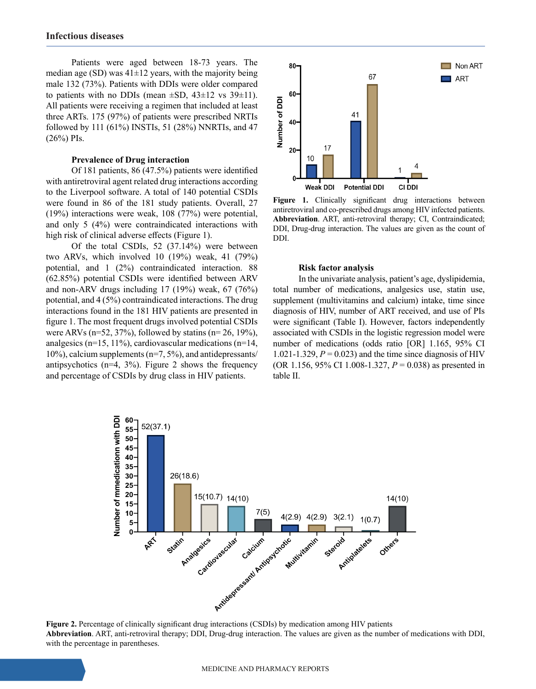Patients were aged between 18-73 years. The median age (SD) was  $41\pm12$  years, with the majority being male 132 (73%). Patients with DDIs were older compared to patients with no DDIs (mean  $\pm$ SD, 43 $\pm$ 12 vs 39 $\pm$ 11). All patients were receiving a regimen that included at least three ARTs. 175 (97%) of patients were prescribed NRTIs followed by 111 (61%) INSTIs, 51 (28%) NNRTIs, and 47 (26%) PIs.

#### **Prevalence of Drug interaction**

Of 181 patients, 86 (47.5%) patients were identified with antiretroviral agent related drug interactions according to the Liverpool software. A total of 140 potential CSDIs were found in 86 of the 181 study patients. Overall, 27 (19%) interactions were weak, 108 (77%) were potential, and only 5 (4%) were contraindicated interactions with high risk of clinical adverse effects (Figure 1).

Of the total CSDIs, 52 (37.14%) were between two ARVs, which involved 10 (19%) weak, 41 (79%) potential, and 1 (2%) contraindicated interaction. 88 (62.85%) potential CSDIs were identified between ARV and non-ARV drugs including 17 (19%) weak, 67 (76%) potential, and 4 (5%) contraindicated interactions. The drug interactions found in the 181 HIV patients are presented in figure 1. The most frequent drugs involved potential CSDIs were ARVs ( $n=52$ , 37%), followed by statins ( $n=26$ , 19%), analgesics ( $n=15$ , 11%), cardiovascular medications ( $n=14$ ,  $10\%$ ), calcium supplements (n=7, 5%), and antidepressants/ antipsychotics ( $n=4$ ,  $3\%$ ). Figure 2 shows the frequency and percentage of CSDIs by drug class in HIV patients.



Figure 1. Clinically significant drug interactions between antiretroviral and co-prescribed drugs among HIV infected patients. **Abbreviation**. ART, anti-retroviral therapy; CI, Contraindicated; DDI, Drug-drug interaction. The values are given as the count of DDI.

#### **Risk factor analysis**

In the univariate analysis, patient's age, dyslipidemia, total number of medications, analgesics use, statin use, supplement (multivitamins and calcium) intake, time since diagnosis of HIV, number of ART received, and use of PIs were significant (Table I). However, factors independently associated with CSDIs in the logistic regression model were number of medications (odds ratio [OR] 1.165, 95% CI 1.021-1.329,  $P = 0.023$ ) and the time since diagnosis of HIV (OR 1.156, 95% CI 1.008-1.327, *P* = 0.038) as presented in table II.



**Abbreviation**. ART, anti-retroviral therapy; DDI, Drug-drug interaction. The values are given as the number of medications with DDI, with the percentage in parentheses.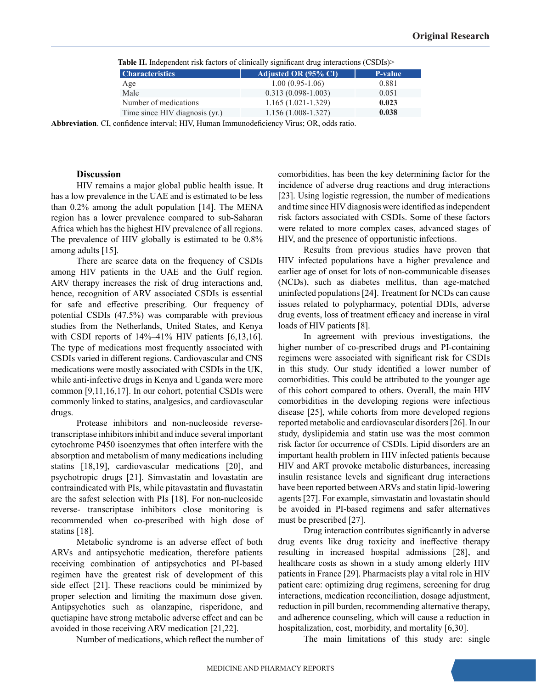| <b>Characteristics</b>         | Adjusted OR (95% CI) | P-value |
|--------------------------------|----------------------|---------|
| Age                            | $1.00(0.95-1.06)$    | 0.881   |
| Male                           | $0.313(0.098-1.003)$ | 0.051   |
| Number of medications          | $1.165(1.021-1.329)$ | 0.023   |
| Time since HIV diagnosis (yr.) | $1.156(1.008-1.327)$ | 0.038   |
|                                |                      |         |

 **Table II.** Independent risk factors of clinically significant drug interactions (CSDIs)>

**Abbreviation**. CI, confidence interval; HIV, Human Immunodeficiency Virus; OR, odds ratio.

#### **Discussion**

HIV remains a major global public health issue. It has a low prevalence in the UAE and is estimated to be less than 0.2% among the adult population [14]. The MENA region has a lower prevalence compared to sub-Saharan Africa which has the highest HIV prevalence of all regions. The prevalence of HIV globally is estimated to be 0.8% among adults [15].

There are scarce data on the frequency of CSDIs among HIV patients in the UAE and the Gulf region. ARV therapy increases the risk of drug interactions and, hence, recognition of ARV associated CSDIs is essential for safe and effective prescribing. Our frequency of potential CSDIs (47.5%) was comparable with previous studies from the Netherlands, United States, and Kenya with CSDI reports of 14%–41% HIV patients [6,13,16]. The type of medications most frequently associated with CSDIs varied in different regions. Cardiovascular and CNS medications were mostly associated with CSDIs in the UK, while anti-infective drugs in Kenya and Uganda were more common [9,11,16,17]. In our cohort, potential CSDIs were commonly linked to statins, analgesics, and cardiovascular drugs.

Protease inhibitors and non-nucleoside reversetranscriptase inhibitors inhibit and induce several important cytochrome P450 isoenzymes that often interfere with the absorption and metabolism of many medications including statins [18,19], cardiovascular medications [20], and psychotropic drugs [21]. Simvastatin and lovastatin are contraindicated with PIs, while pitavastatin and fluvastatin are the safest selection with PIs [18]. For non-nucleoside reverse- transcriptase inhibitors close monitoring is recommended when co-prescribed with high dose of statins [18].

Metabolic syndrome is an adverse effect of both ARVs and antipsychotic medication, therefore patients receiving combination of antipsychotics and PI-based regimen have the greatest risk of development of this side effect [21]. These reactions could be minimized by proper selection and limiting the maximum dose given. Antipsychotics such as olanzapine, risperidone, and quetiapine have strong metabolic adverse effect and can be avoided in those receiving ARV medication [21,22].

Number of medications, which reflect the number of

comorbidities, has been the key determining factor for the incidence of adverse drug reactions and drug interactions [23]. Using logistic regression, the number of medications and time since HIV diagnosis were identified as independent risk factors associated with CSDIs. Some of these factors were related to more complex cases, advanced stages of HIV, and the presence of opportunistic infections.

Results from previous studies have proven that HIV infected populations have a higher prevalence and earlier age of onset for lots of non-communicable diseases (NCDs), such as diabetes mellitus, than age-matched uninfected populations [24]. Treatment for NCDs can cause issues related to polypharmacy, potential DDIs, adverse drug events, loss of treatment efficacy and increase in viral loads of HIV patients [8].

In agreement with previous investigations, the higher number of co-prescribed drugs and PI-containing regimens were associated with significant risk for CSDIs in this study. Our study identified a lower number of comorbidities. This could be attributed to the younger age of this cohort compared to others. Overall, the main HIV comorbidities in the developing regions were infectious disease [25], while cohorts from more developed regions reported metabolic and cardiovascular disorders [26]. In our study, dyslipidemia and statin use was the most common risk factor for occurrence of CSDIs. Lipid disorders are an important health problem in HIV infected patients because HIV and ART provoke metabolic disturbances, increasing insulin resistance levels and significant drug interactions have been reported between ARVs and statin lipid-lowering agents [27]. For example, simvastatin and lovastatin should be avoided in PI-based regimens and safer alternatives must be prescribed [27].

Drug interaction contributes significantly in adverse drug events like drug toxicity and ineffective therapy resulting in increased hospital admissions [28], and healthcare costs as shown in a study among elderly HIV patients in France [29]. Pharmacists play a vital role in HIV patient care: optimizing drug regimens, screening for drug interactions, medication reconciliation, dosage adjustment, reduction in pill burden, recommending alternative therapy, and adherence counseling, which will cause a reduction in hospitalization, cost, morbidity, and mortality [6,30].

The main limitations of this study are: single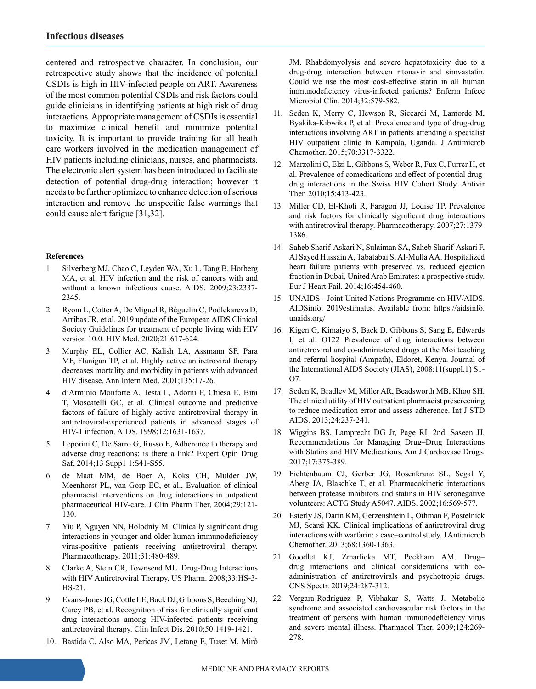centered and retrospective character. In conclusion, our retrospective study shows that the incidence of potential CSDIs is high in HIV-infected people on ART. Awareness of the most common potential CSDIs and risk factors could guide clinicians in identifying patients at high risk of drug interactions. Appropriate management of CSDIs is essential to maximize clinical benefit and minimize potential toxicity. It is important to provide training for all heath care workers involved in the medication management of HIV patients including clinicians, nurses, and pharmacists. The electronic alert system has been introduced to facilitate detection of potential drug-drug interaction; however it needs to be further optimized to enhance detection of serious interaction and remove the unspecific false warnings that could cause alert fatigue [31,32].

### **References**

- 1. Silverberg MJ, Chao C, Leyden WA, Xu L, Tang B, Horberg MA, et al. HIV infection and the risk of cancers with and without a known infectious cause. AIDS. 2009;23:2337- 2345.
- 2. Ryom L, Cotter A, De Miguel R, Béguelin C, Podlekareva D, Arribas JR, et al. 2019 update of the European AIDS Clinical Society Guidelines for treatment of people living with HIV version 10.0. HIV Med. 2020;21:617-624.
- 3. Murphy EL, Collier AC, Kalish LA, Assmann SF, Para MF, Flanigan TP, et al. Highly active antiretroviral therapy decreases mortality and morbidity in patients with advanced HIV disease. Ann Intern Med. 2001;135:17-26.
- 4. d'Arminio Monforte A, Testa L, Adorni F, Chiesa E, Bini T, Moscatelli GC, et al. Clinical outcome and predictive factors of failure of highly active antiretroviral therapy in antiretroviral-experienced patients in advanced stages of HIV-1 infection. AIDS. 1998;12:1631-1637.
- 5. Leporini C, De Sarro G, Russo E, Adherence to therapy and adverse drug reactions: is there a link? Expert Opin Drug Saf, 2014;13 Supp1 1:S41-S55.
- 6. de Maat MM, de Boer A, Koks CH, Mulder JW, Meenhorst PL, van Gorp EC, et al., Evaluation of clinical pharmacist interventions on drug interactions in outpatient pharmaceutical HIV-care. J Clin Pharm Ther, 2004;29:121- 130.
- 7. Yiu P, Nguyen NN, Holodniy M. Clinically significant drug interactions in younger and older human immunodeficiency virus-positive patients receiving antiretroviral therapy. Pharmacotherapy. 2011;31:480-489.
- 8. Clarke A, Stein CR, Townsend ML. Drug-Drug Interactions with HIV Antiretroviral Therapy. US Pharm. 2008;33:HS-3- HS-21.
- 9. Evans-Jones JG, Cottle LE, Back DJ, Gibbons S, Beeching NJ, Carey PB, et al. Recognition of risk for clinically significant drug interactions among HIV-infected patients receiving antiretroviral therapy. Clin Infect Dis. 2010;50:1419-1421.
- 10. Bastida C, Also MA, Pericas JM, Letang E, Tuset M, Miró

JM. Rhabdomyolysis and severe hepatotoxicity due to a drug-drug interaction between ritonavir and simvastatin. Could we use the most cost-effective statin in all human immunodeficiency virus-infected patients? Enferm Infecc Microbiol Clin. 2014;32:579-582.

- 11. Seden K, Merry C, Hewson R, Siccardi M, Lamorde M, Byakika-Kibwika P, et al. Prevalence and type of drug-drug interactions involving ART in patients attending a specialist HIV outpatient clinic in Kampala, Uganda. J Antimicrob Chemother. 2015;70:3317-3322.
- 12. Marzolini C, Elzi L, Gibbons S, Weber R, Fux C, Furrer H, et al. Prevalence of comedications and effect of potential drugdrug interactions in the Swiss HIV Cohort Study. Antivir Ther. 2010;15:413-423.
- 13. Miller CD, El-Kholi R, Faragon JJ, Lodise TP. Prevalence and risk factors for clinically significant drug interactions with antiretroviral therapy. Pharmacotherapy. 2007;27:1379- 1386.
- 14. Saheb Sharif-Askari N, Sulaiman SA, Saheb Sharif-Askari F, Al Sayed Hussain A, Tabatabai S, Al-Mulla AA. Hospitalized heart failure patients with preserved vs. reduced ejection fraction in Dubai, United Arab Emirates: a prospective study. Eur J Heart Fail. 2014;16:454-460.
- 15. UNAIDS Joint United Nations Programme on HIV/AIDS. AIDSinfo. 2019estimates. Available from: https://aidsinfo. unaids.org/
- 16. Kigen G, Kimaiyo S, Back D. Gibbons S, Sang E, Edwards I, et al. O122 Prevalence of drug interactions between antiretroviral and co-administered drugs at the Moi teaching and referral hospital (Ampath), Eldoret, Kenya. Journal of the International AIDS Society (JIAS), 2008;11(suppl.1) S1-  $O7$
- 17. Seden K, Bradley M, Miller AR, Beadsworth MB, Khoo SH. The clinical utility of HIV outpatient pharmacist prescreening to reduce medication error and assess adherence. Int J STD AIDS. 2013;24:237-241.
- 18. Wiggins BS, Lamprecht DG Jr, Page RL 2nd, Saseen JJ. Recommendations for Managing Drug–Drug Interactions with Statins and HIV Medications. Am J Cardiovasc Drugs. 2017;17:375-389.
- 19. Fichtenbaum CJ, Gerber JG, Rosenkranz SL, Segal Y, Aberg JA, Blaschke T, et al. Pharmacokinetic interactions between protease inhibitors and statins in HIV seronegative volunteers: ACTG Study A5047. AIDS. 2002;16:569-577.
- 20. Esterly JS, Darin KM, Gerzenshtein L, Othman F, Postelnick MJ, Scarsi KK. Clinical implications of antiretroviral drug interactions with warfarin: a case–control study. J Antimicrob Chemother. 2013;68:1360-1363.
- 21. Goodlet KJ, Zmarlicka MT, Peckham AM. Drug– drug interactions and clinical considerations with coadministration of antiretrovirals and psychotropic drugs. CNS Spectr. 2019;24:287-312.
- 22. Vergara-Rodriguez P, Vibhakar S, Watts J. Metabolic syndrome and associated cardiovascular risk factors in the treatment of persons with human immunodeficiency virus and severe mental illness. Pharmacol Ther. 2009;124:269- 278.